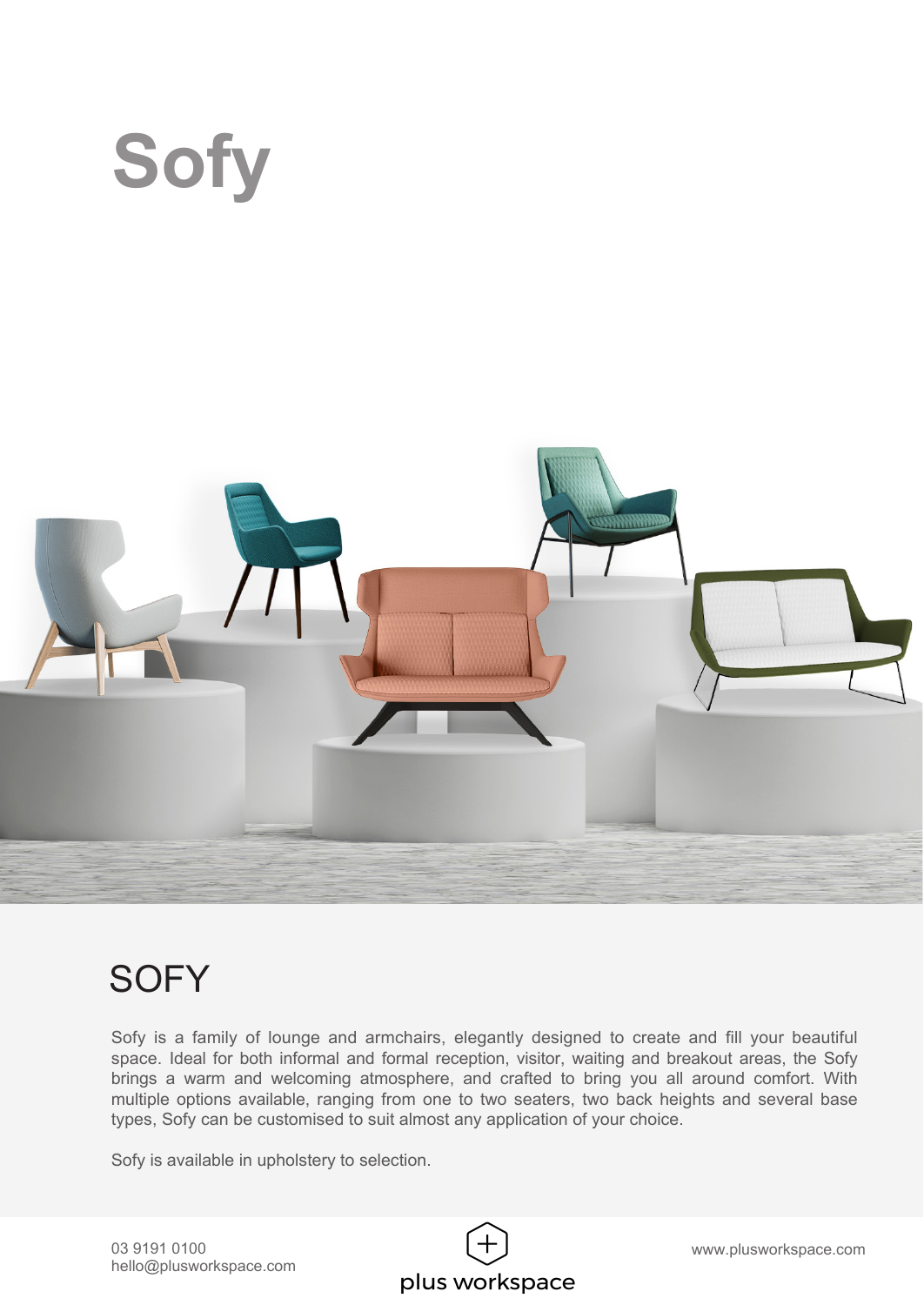

## **SOFY**

Sofy is a family of lounge and armchairs, elegantly designed to create and fill your beautiful space. Ideal for both informal and formal reception, visitor, waiting and breakout areas, the Sofy brings a warm and welcoming atmosphere, and crafted to bring you all around comfort. With multiple options available, ranging from one to two seaters, two back heights and several base types, Sofy can be customised to suit almost any application of your choice.

Sofy is available in upholstery to selection.